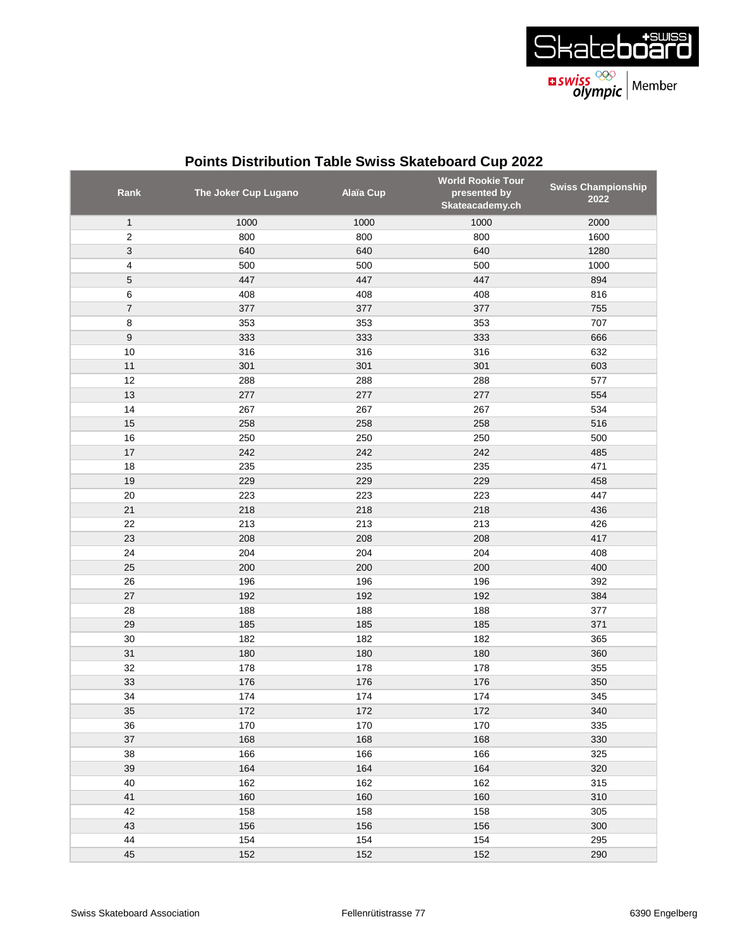

| Rank             | The Joker Cup Lugano | <b>Alaïa Cup</b> | <b>World Rookie Tour</b><br>presented by<br>Skateacademy.ch | <b>Swiss Championship</b><br>2022 |
|------------------|----------------------|------------------|-------------------------------------------------------------|-----------------------------------|
| $\mathbf{1}$     | 1000                 | 1000             | 1000                                                        | 2000                              |
| $\overline{2}$   | 800                  | 800              | 800                                                         | 1600                              |
| 3                | 640                  | 640              | 640                                                         | 1280                              |
| 4                | 500                  | 500              | 500                                                         | 1000                              |
| $\mathbf 5$      | 447                  | 447              | 447                                                         | 894                               |
| 6                | 408                  | 408              | 408                                                         | 816                               |
| $\overline{7}$   | 377                  | 377              | 377                                                         | 755                               |
| 8                | 353                  | 353              | 353                                                         | 707                               |
| $\boldsymbol{9}$ | 333                  | 333              | 333                                                         | 666                               |
| 10               | 316                  | 316              | 316                                                         | 632                               |
| 11               | 301                  | 301              | 301                                                         | 603                               |
| 12               | 288                  | 288              | 288                                                         | 577                               |
| 13               | 277                  | 277              | 277                                                         | 554                               |
| 14               | 267                  | 267              | 267                                                         | 534                               |
| 15               | 258                  | 258              | 258                                                         | 516                               |
| 16               | 250                  | 250              | 250                                                         | 500                               |
| 17               | 242                  | 242              | 242                                                         | 485                               |
| 18               | 235                  | 235              | 235                                                         | 471                               |
| 19               | 229                  | 229              | 229                                                         | 458                               |
| 20               | 223                  | 223              | 223                                                         | 447                               |
| 21               | 218                  | 218              | 218                                                         | 436                               |
| 22               | 213                  | 213              | 213                                                         | 426                               |
| 23               | 208                  | 208              | 208                                                         | 417                               |
| 24               | 204                  | 204              | 204                                                         | 408                               |
| 25               | 200                  | 200              | 200                                                         | 400                               |
| 26               | 196                  | 196              | 196                                                         | 392                               |
| 27               | 192                  | 192              | 192                                                         | 384                               |
| 28               | 188                  | 188              | 188                                                         | 377                               |
| 29               | 185                  | 185              | 185                                                         | 371                               |
| 30               | 182                  | 182              | 182                                                         | 365                               |
| 31               | 180                  | 180              | 180                                                         | 360                               |
| 32               | 178                  | 178              | 178                                                         | 355                               |
| 33               | 176                  | 176              | 176                                                         | 350                               |
| 34               | 174                  | 174              | 174                                                         | 345                               |
| 35               | 172                  | 172              | $172$                                                       | 340                               |
| 36               | 170                  | 170              | 170                                                         | 335                               |
| 37               | 168                  | 168              | 168                                                         | 330                               |
| 38               | 166                  | 166              | 166                                                         | 325                               |
| 39               | 164                  | 164              | 164                                                         | 320                               |
| 40               | 162                  | 162              | 162                                                         | 315                               |
| 41               | 160                  | 160              | 160                                                         | 310                               |
| 42               | 158                  | 158              | 158                                                         | 305                               |
| 43               | 156                  | 156              | 156                                                         | 300                               |
| 44               | 154                  | 154              | 154                                                         | 295                               |
| 45               | 152                  | 152              | 152                                                         | 290                               |

## **Points Distribution Table Swiss Skateboard Cup 2022**